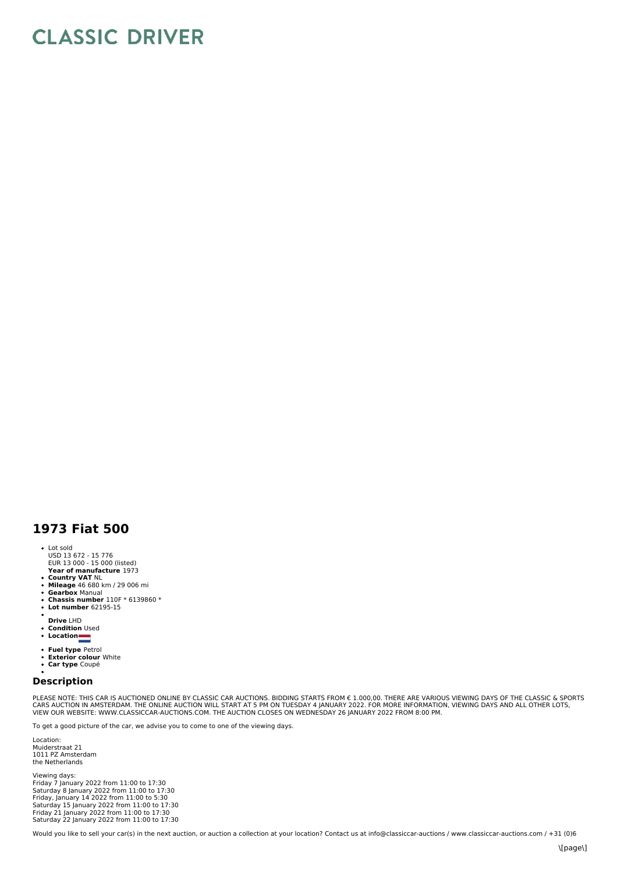## **CLASSIC DRIVER**

## **1973 Fiat 500**

- Lot sold
- USD 13 672 15 776 EUR 13 000 15 000 (listed)
- **Year of manufacture** 1973
- **Country VAT** NL **Mileage** 46 680 km / 29 006 mi
- 
- **Gearbox** Manual **Chassis number** 110F \* 6139860 \* **Lot number** 62195-15
- 
- **Drive** LHD
- $\bullet$ **Condition** Used
- **Location**
- 
- 
- **Fuel type P**etrol<br>**Exterior colour** White<br>**Car type** Coupé

## **Description**

PLEASE NOTE: THIS CAR IS AUCTIONED ONLINE BY CLASSIC CAR AUCTIONS. BIDDING STARTS FROM € 1.000,00. THERE ARE VARIOUS VIEWING DAYS OF THE CLASSIC & SPORTS<br>CARS AUCTION IN AMSTERDAM. THE ONLINE AUCTION WILL START AT 5 PM ON

To get a good picture of the car, we advise you to come to one of the viewing days.

Location: Muiderstraat 21 1011 PZ Amsterdam the Netherlands

Viewing days: Friday 7 January 2022 from 11:00 to 17:30 Saturday 8 January 2022 from 11:00 to 17:30 Friday, January 14 2022 from 11:00 to 5:30 Saturday 15 January 2022 from 11:00 to 17:30 Friday 21 January 2022 from 11:00 to 17:30 Saturday 22 January 2022 from 11:00 to 17:30

Would you like to sell your car(s) in the next auction, or auction a collection at your location? Contact us at info@classiccar-auctions / www.classiccar-auctions.com / +31 (0)6